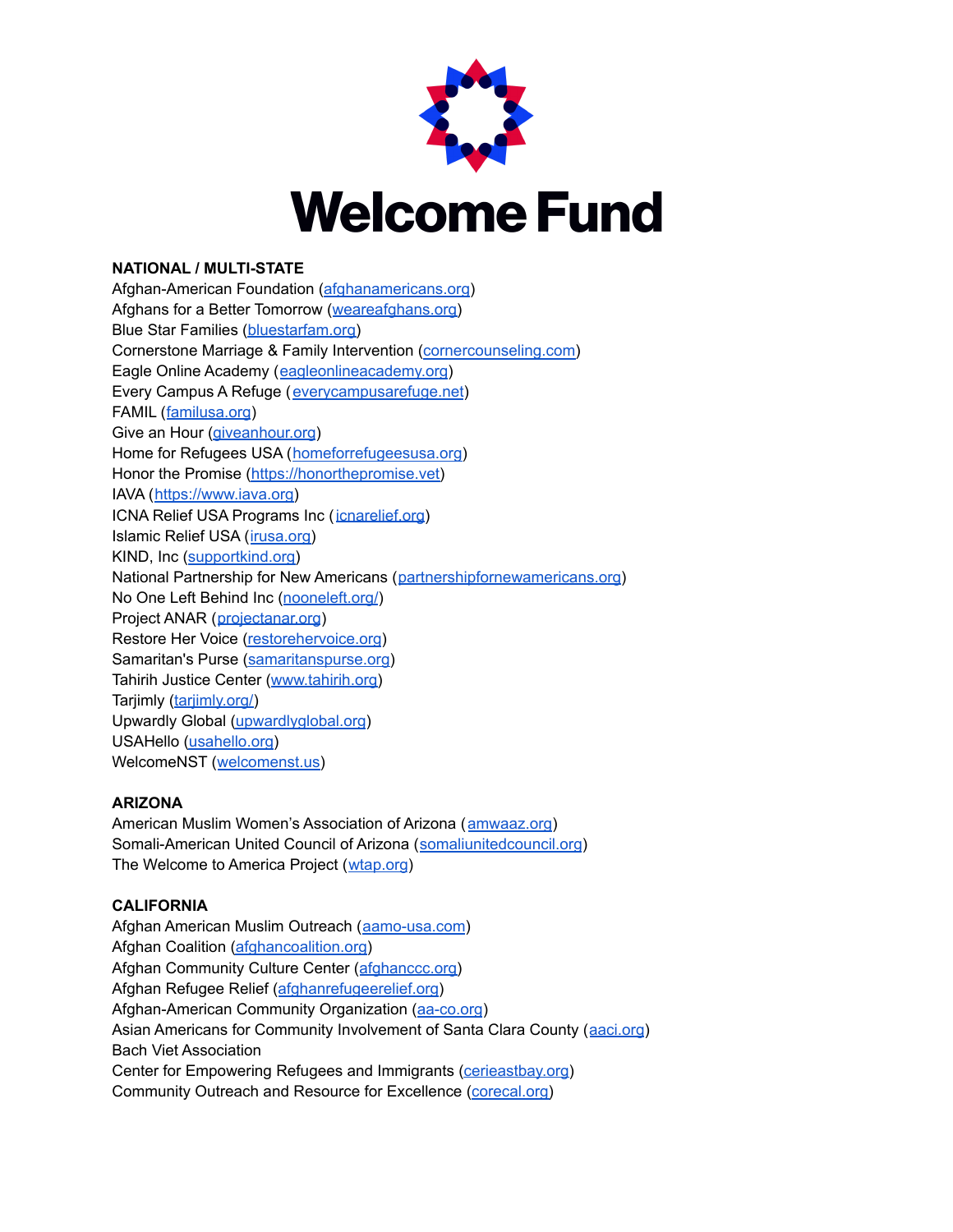

## **NATIONAL / MULTI-STATE**

Afghan-American Foundation [\(afghanamericans.org](https://www.afghanamericans.org/)) Afghans for a Better Tomorrow ([weareafghans.org\)](https://www.weareafghans.org/) Blue Star Families [\(bluestarfam.org\)](https://www.bluestarfam.org) Cornerstone Marriage & Family Intervention [\(cornercounseling.com\)](https://www.cornercounseling.com) Eagle Online Academy ([eagleonlineacademy.org\)](https://www.eagleonlineacademy.org) Every Campus A Refuge ([everycampusarefuge.net](https://everycampusarefuge.net/)) FAMIL ([familusa.org](https://familusa.org/)) Give an Hour [\(giveanhour.org](https://giveanhour.org/)) Home for Refugees USA ([homeforrefugeesusa.org](https://www.homeforrefugeesusa.org)) Honor the Promise [\(https://honorthepromise.vet\)](https://honorthepromise.vet) IAVA ([https://www.iava.org\)](https://www.iava.org) ICNA Relief USA Programs Inc ([icnarelief.org](https://icnarelief.org/)) Islamic Relief USA ([irusa.org\)](https://irusa.org/) KIND, Inc ([supportkind.org\)](https://supportkind.org/) National Partnership for New Americans ([partnershipfornewamericans.org](https://partnershipfornewamericans.org/)) No One Left Behind Inc [\(nooneleft.org/](https://nooneleft.org/)) Project ANAR ([projectanar.org](https://www.projectanar.org/)) Restore Her Voice [\(restorehervoice.org](https://restorehervoice.org)) Samaritan's Purse [\(samaritanspurse.org\)](http://www.samaritanspurse.org) Tahirih Justice Center [\(www.tahirih.org\)](https://www.tahirih.org) Tarjimly ([tarjimly.org/\)](https://tarjimly.org/) Upwardly Global [\(upwardlyglobal.org](https://www.upwardlyglobal.org/)) USAHello [\(usahello.org\)](https://usahello.org) WelcomeNST ([welcomenst.us\)](http://www.welcomenst.us)

## **ARIZONA**

American Muslim Women's Association of Arizona ([amwaaz.org\)](https://amwaaz.org/) Somali-American United Council of Arizona ([somaliunitedcouncil.org](https://www.somaliunitedcouncil.org)) The Welcome to America Project ([wtap.org](https://www.wtap.org))

## **CALIFORNIA**

Afghan American Muslim Outreach ([aamo-usa.com](https://www.aamo-usa.com/)) Afghan Coalition [\(afghancoalition.org\)](https://www.afghancoalition.org/) Afghan Community Culture Center ([afghanccc.org\)](https://afghanccc.org/) Afghan Refugee Relief ([afghanrefugeerelief.org](https://afghanrefugeerelief.org)) Afghan-American Community Organization [\(aa-co.org](https://aa-co.org/)) Asian Americans for Community Involvement of Santa Clara County ([aaci.org](https://aaci.org/)) Bach Viet Association Center for Empowering Refugees and Immigrants [\(cerieastbay.org\)](https://www.cerieastbay.org/) Community Outreach and Resource for Excellence [\(corecal.org\)](https://www.corecal.org/)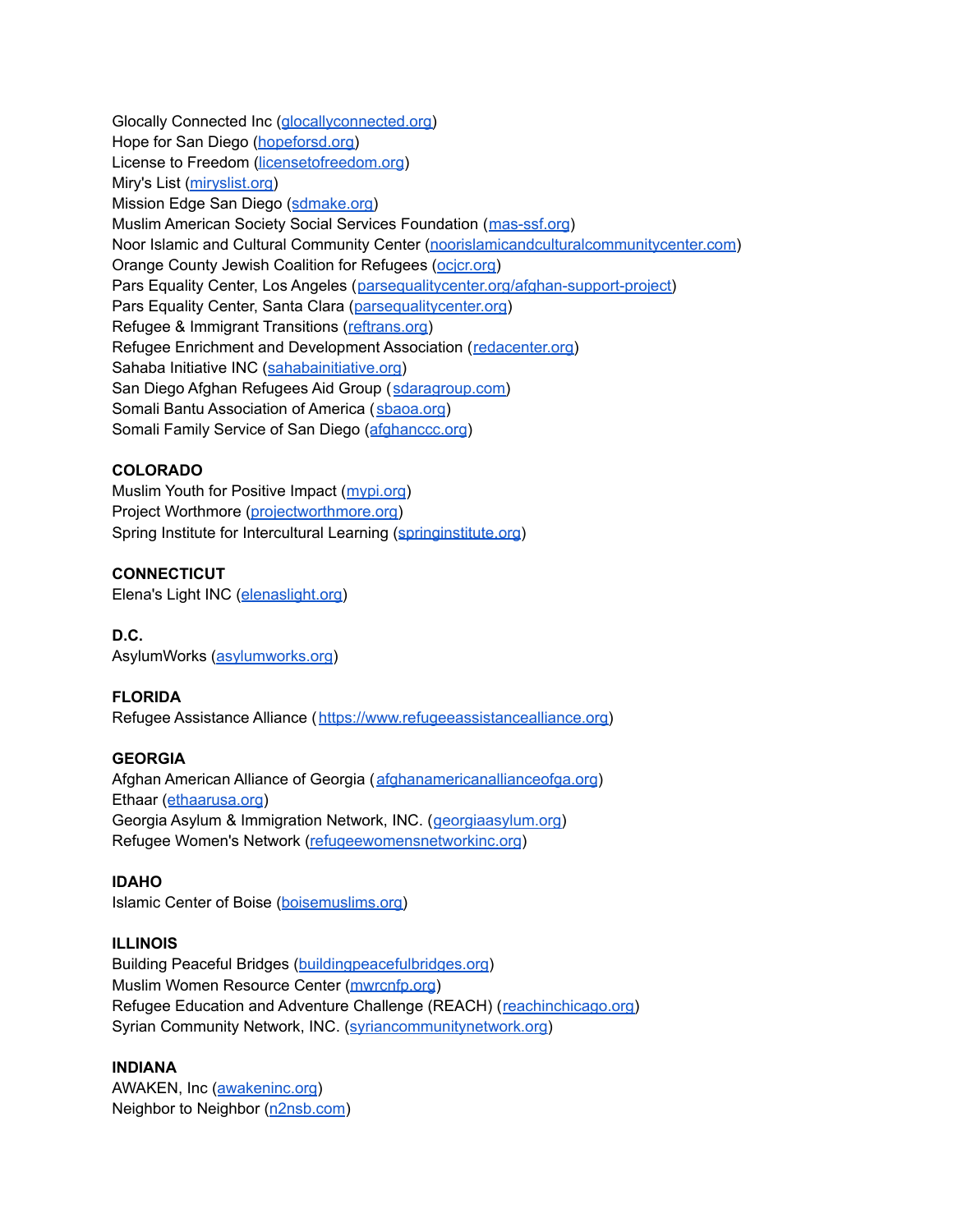Glocally Connected Inc ([glocallyconnected.org\)](https://glocallyconnected.org/) Hope for San Diego ([hopeforsd.org\)](https://www.hopeforsd.org) License to Freedom [\(licensetofreedom.org\)](https://licensetofreedom.org/) Miry's List [\(miryslist.org\)](http://miryslist.org) Mission Edge San Diego ([sdmake.org\)](https://www.sdmake.org) Muslim American Society Social Services Foundation ([mas-ssf.org](https://mas-ssf.org)) Noor Islamic and Cultural Community Center [\(noorislamicandculturalcommunitycenter.com](https://www.noorislamicandculturalcommunitycenter.com/)) Orange County Jewish Coalition for Refugees ([ocjcr.org\)](https://ocjcr.org/) Pars Equality Center, Los Angeles ([parsequalitycenter.org/afghan-support-project\)](https://parsequalitycenter.org/afghan-support-project/) Pars Equality Center, Santa Clara ([parsequalitycenter.org\)](https://parsequalitycenter.org/) Refugee & Immigrant Transitions ([reftrans.org\)](https://www.reftrans.org) Refugee Enrichment and Development Association ([redacenter.org\)](https://www.redacenter.org) Sahaba Initiative INC [\(sahabainitiative.org](https://sahabainitiative.org/)) San Diego Afghan Refugees Aid Group ([sdaragroup.com\)](https://sdaragroup.com) Somali Bantu Association of America ([sbaoa.org](https://www.sbaoa.org)) Somali Family Service of San Diego ([afghanccc.org](https://afghanccc.org/))

## **COLORADO**

Muslim Youth for Positive Impact ([mypi.org](http://www.mypi.org)) Project Worthmore [\(projectworthmore.org\)](https://projectworthmore.org/) Spring Institute for Intercultural Learning ([springinstitute.org\)](https://springinstitute.org)

# **CONNECTICUT**

Elena's Light INC [\(elenaslight.org](https://www.elenaslight.org))

# **D.C.**

AsylumWorks [\(asylumworks.org](https://asylumworks.org/))

# **FLORIDA**

Refugee Assistance Alliance ([https://www.refugeeassistancealliance.org\)](https://www.refugeeassistancealliance.org)

## **GEORGIA**

Afghan American Alliance of Georgia ([afghanamericanallianceofga.org](https://www.afghanamericanallianceofga.org/)) Ethaar ([ethaarusa.org](https://www.ethaarusa.org)) Georgia Asylum & Immigration Network, INC. ([georgiaasylum.org\)](https://georgiaasylum.org) Refugee Women's Network [\(refugeewomensnetworkinc.org](https://refugeewomensnetworkinc.org/))

## **IDAHO**

Islamic Center of Boise ([boisemuslims.org\)](https://boisemuslims.org)

## **ILLINOIS**

Building Peaceful Bridges [\(buildingpeacefulbridges.org](https://www.buildingpeacefulbridges.org/)) Muslim Women Resource Center [\(mwrcnfp.org](http://www.mwrcnfp.org/)) Refugee Education and Adventure Challenge (REACH) ([reachinchicago.org\)](https://www.reachinchicago.org) Syrian Community Network, INC. ([syriancommunitynetwork.org\)](https://www.syriancommunitynetwork.org)

## **INDIANA**

AWAKEN, Inc ([awakeninc.org](https://www.awakeninc.org/)) Neighbor to Neighbor [\(n2nsb.com](https://n2nsb.com))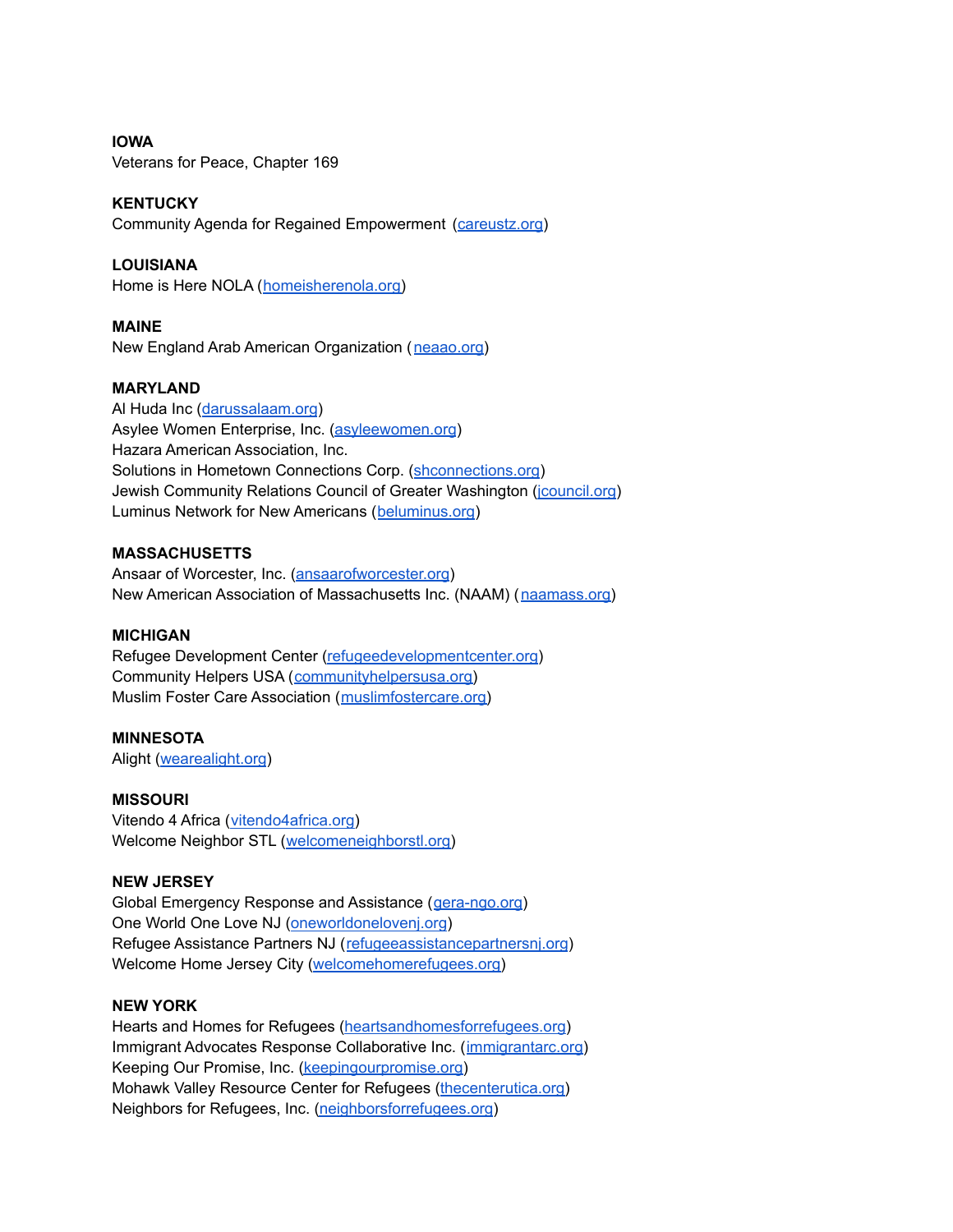**IOWA** Veterans for Peace, Chapter 169

## **KENTUCKY**

Community Agenda for Regained Empowerment [\(careustz.org](https://www.careustz.org))

# **LOUISIANA**

Home is Here NOLA ([homeisherenola.org\)](https://www.homeisherenola.org)

## **MAINE**

New England Arab American Organization ([neaao.org\)](https://www.neaao.org)

## **MARYLAND**

Al Huda Inc ([darussalaam.org](https://www.darussalaam.org)) Asylee Women Enterprise, Inc. [\(asyleewomen.org](https://www.asyleewomen.org)) Hazara American Association, Inc. Solutions in Hometown Connections Corp. ([shconnections.org](https://www.shconnections.org/)) Jewish Community Relations Council of Greater Washington (*[jcouncil.org](https://www.jcouncil.org)*) Luminus Network for New Americans ([beluminus.org](https://www.beluminus.org/))

## **MASSACHUSETTS**

Ansaar of Worcester, Inc. [\(ansaarofworcester.org](https://www.ansaarofworcester.org/)) New American Association of Massachusetts Inc. (NAAM) ([naamass.org\)](https://naamass.org/)

## **MICHIGAN**

Refugee Development Center [\(refugeedevelopmentcenter.org\)](https://refugeedevelopmentcenter.org) Community Helpers USA ([communityhelpersusa.org\)](https://communityhelpersusa.org/) Muslim Foster Care Association ([muslimfostercare.org\)](https://muslimfostercare.org)

## **MINNESOTA**

Alight [\(wearealight.org](https://wearealight.org/))

#### **MISSOURI**

Vitendo 4 Africa ([vitendo4africa.org\)](https://vitendo4africa.org) Welcome Neighbor STL ([welcomeneighborstl.org\)](https://welcomeneighborstl.org/)

#### **NEW JERSEY**

Global Emergency Response and Assistance ([gera-ngo.org\)](https://www.gera-ngo.org/) One World One Love NJ ([oneworldonelovenj.org](https://www.oneworldonelovenj.org)) Refugee Assistance Partners NJ ([refugeeassistancepartnersnj.org](https://www.refugeeassistancepartnersnj.org/)) Welcome Home Jersey City [\(welcomehomerefugees.org\)](https://welcomehomerefugees.org/)

#### **NEW YORK**

Hearts and Homes for Refugees [\(heartsandhomesforrefugees.org\)](https://heartsandhomesforrefugees.org) Immigrant Advocates Response Collaborative Inc. ([immigrantarc.org\)](https://www.immigrantarc.org/) Keeping Our Promise, Inc. [\(keepingourpromise.org\)](https://www.keepingourpromise.org/) Mohawk Valley Resource Center for Refugees ([thecenterutica.org\)](http://www.thecenterutica.org/) Neighbors for Refugees, Inc. [\(neighborsforrefugees.org](https://www.neighborsforrefugees.org))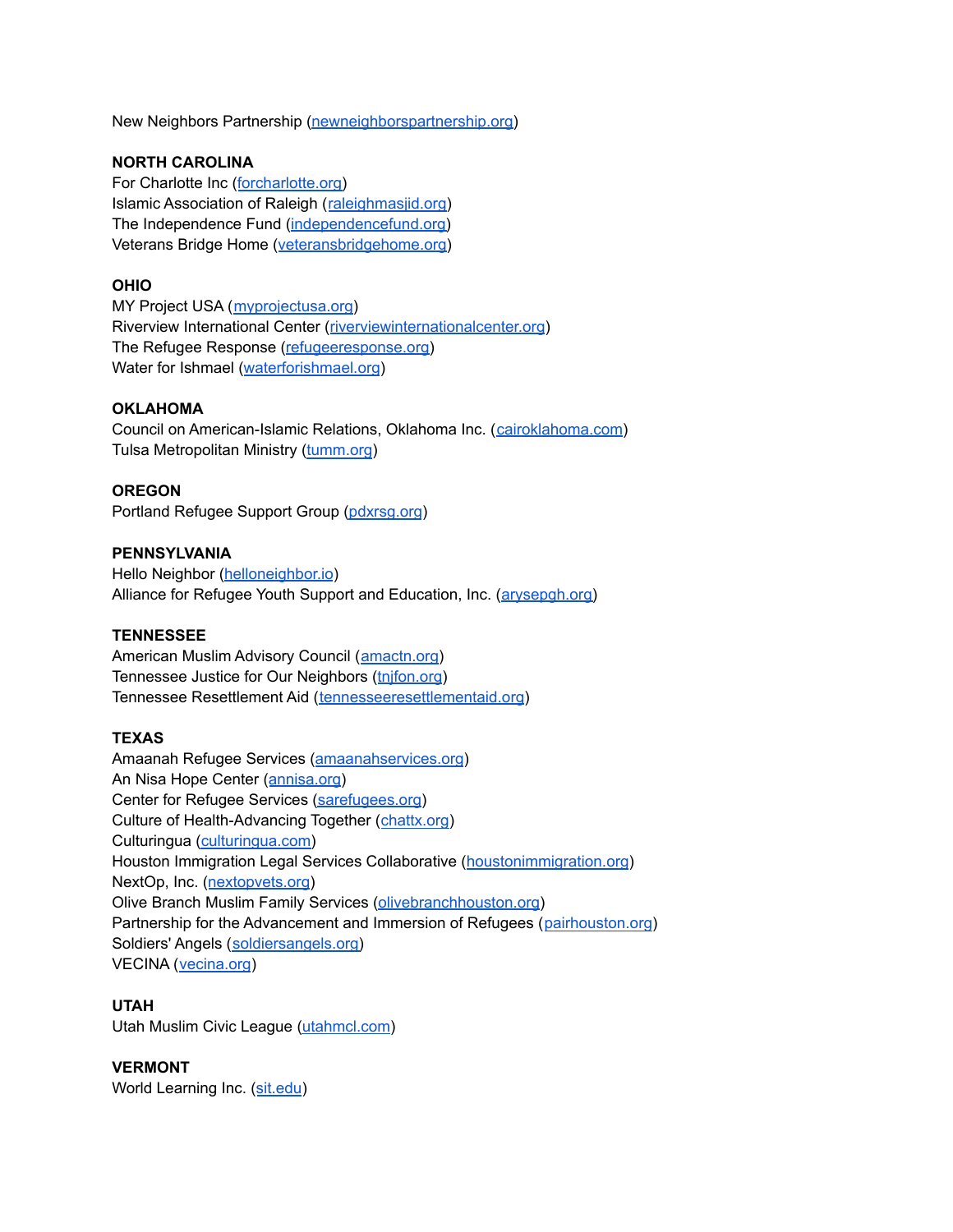New Neighbors Partnership [\(newneighborspartnership.org\)](https://www.newneighborspartnership.org/)

## **NORTH CAROLINA**

For Charlotte Inc ([forcharlotte.org\)](https://forcharlotte.org/) Islamic Association of Raleigh ([raleighmasjid.org](https://raleighmasjid.org)) The Independence Fund [\(independencefund.org\)](https://independencefund.org) Veterans Bridge Home ([veteransbridgehome.org](https://www.veteransbridgehome.org))

## **OHIO**

MY Project USA ([myprojectusa.org\)](https://www.myprojectusa.org) Riverview International Center [\(riverviewinternationalcenter.org](https://riverviewinternationalcenter.org)) The Refugee Response ([refugeeresponse.org\)](http://www.refugeeresponse.org) Water for Ishmael ([waterforishmael.org](https://waterforishmael.org))

## **OKLAHOMA**

Council on American-Islamic Relations, Oklahoma Inc. ([cairoklahoma.com](https://www.cairoklahoma.com/)) Tulsa Metropolitan Ministry [\(tumm.org](https://www.tumm.org))

## **OREGON**

Portland Refugee Support Group [\(pdxrsg.org](https://www.pdxrsg.org))

## **PENNSYLVANIA**

Hello Neighbor [\(helloneighbor.io](https://www.helloneighbor.io/)) Alliance for Refugee Youth Support and Education, Inc. [\(arysepgh.org\)](https://www.arysepgh.org)

## **TENNESSEE**

American Muslim Advisory Council ([amactn.org\)](https://www.amactn.org) Tennessee Justice for Our Neighbors ([tnjfon.org](https://www.tnjfon.org)) Tennessee Resettlement Aid ([tennesseeresettlementaid.org](https://www.tennesseeresettlementaid.org))

# **TEXAS**

Amaanah Refugee Services ([amaanahservices.org](https://amaanahservices.org)) An Nisa Hope Center ([annisa.org](https://annisa.org)) Center for Refugee Services [\(sarefugees.org\)](https://www.sarefugees.org) Culture of Health-Advancing Together ([chattx.org\)](https://chattx.org) Culturingua [\(culturingua.com\)](https://www.culturingua.com) Houston Immigration Legal Services Collaborative ([houstonimmigration.org](https://www.houstonimmigration.org)) NextOp, Inc. ([nextopvets.org](https://www.nextopvets.org)) Olive Branch Muslim Family Services [\(olivebranchhouston.org\)](https://www.olivebranchhouston.org) Partnership for the Advancement and Immersion of Refugees ([pairhouston.org](https://www.pairhouston.org)) Soldiers' Angels ([soldiersangels.org\)](https://soldiersangels.org) VECINA ([vecina.org](https://vecina.org/))

#### **UTAH**

Utah Muslim Civic League [\(utahmcl.com\)](http://www.utahmcl.com)

## **VERMONT**

World Learning Inc. ([sit.edu](https://www.sit.edu))